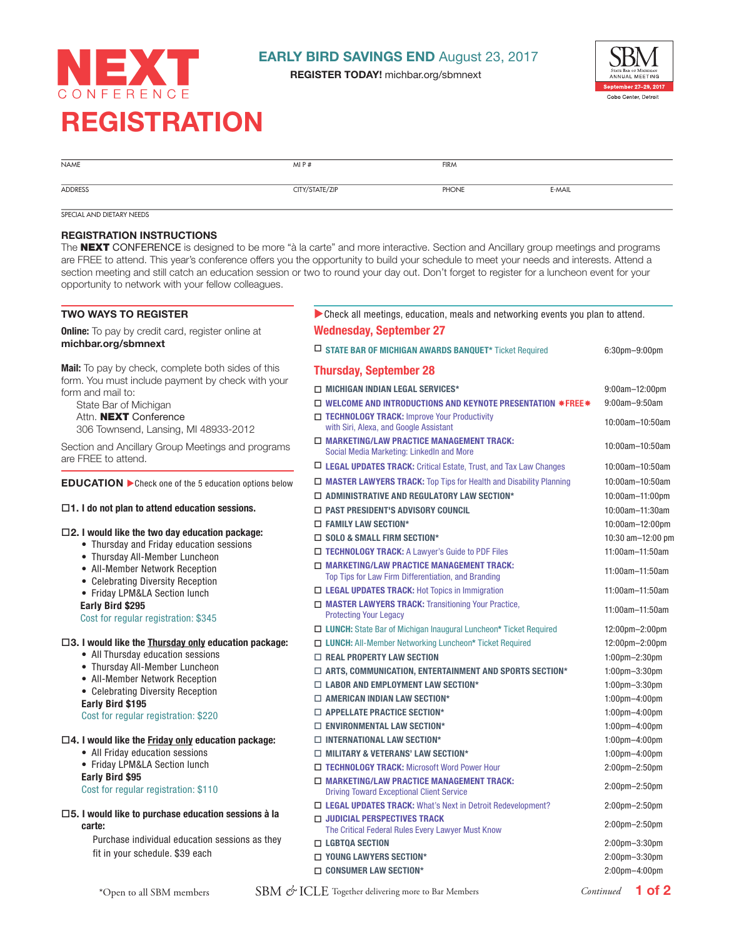# CONFFRENCE REGISTRATION

# EARLY BIRD SAVINGS END August 23, 2017

REGISTER TODAY! michbar.org/sbmnext



| <b>NAME</b>    | MI P#          | <b>FIRM</b>  |        |
|----------------|----------------|--------------|--------|
|                |                |              |        |
| <b>ADDRESS</b> | CITY/STATE/ZIP | <b>PHONE</b> | E-MAIL |

SPECIAL AND DIETARY NEEDS

#### REGISTRATION INSTRUCTIONS

TWO WAYS TO REGISTER

The NEXT CONFERENCE is designed to be more "à la carte" and more interactive. Section and Ancillary group meetings and programs are FREE to attend. This year's conference offers you the opportunity to build your schedule to meet your needs and interests. Attend a section meeting and still catch an education session or two to round your day out. Don't forget to register for a luncheon event for your opportunity to network with your fellow colleagues.

| <b>Wednesday, September 27</b>                                                                      |                       |  |
|-----------------------------------------------------------------------------------------------------|-----------------------|--|
| $\Box$ STATE BAR OF MICHIGAN AWARDS BANQUET* Ticket Required                                        | 6:30pm-9:00pm         |  |
| <b>Thursday, September 28</b>                                                                       |                       |  |
| $\Box$ MICHIGAN INDIAN LEGAL SERVICES*                                                              | $9:00$ am $-12:00$ pm |  |
| $\Box$ WELCOME AND INTRODUCTIONS AND KEYNOTE PRESENTATION $*$ FREE $*$                              | 9:00am-9:50am         |  |
| <b>TECHNOLOGY TRACK: Improve Your Productivity</b><br>with Siri, Alexa, and Google Assistant        | 10:00am-10:50am       |  |
| <b>THE MARKETING/LAW PRACTICE MANAGEMENT TRACK:</b><br>Social Media Marketing: LinkedIn and More    | 10:00am-10:50am       |  |
| $\Box$ LEGAL UPDATES TRACK: Critical Estate, Trust, and Tax Law Changes                             | 10:00am-10:50am       |  |
| $\Box$ MASTER LAWYERS TRACK: Top Tips for Health and Disability Planning                            | 10:00am-10:50am       |  |
| $\Box$ ADMINISTRATIVE AND REGULATORY LAW SECTION*                                                   | 10:00am-11:00pm       |  |
| $\Box$ PAST PRESIDENT'S ADVISORY COUNCIL                                                            | 10:00am-11:30am       |  |
| $\Box$ FAMILY LAW SECTION*                                                                          | 10:00am-12:00pm       |  |
| $\square$ SOLO & SMALL FIRM SECTION*                                                                | 10:30 am-12:00 pm     |  |
| T TECHNOLOGY TRACK: A Lawyer's Guide to PDF Files                                                   | 11:00am-11:50am       |  |
| MARKETING/LAW PRACTICE MANAGEMENT TRACK:<br>Top Tips for Law Firm Differentiation, and Branding     | 11:00am-11:50am       |  |
| $\Box$ LEGAL UPDATES TRACK: Hot Topics in Immigration                                               | 11:00am-11:50am       |  |
| MASTER LAWYERS TRACK: Transitioning Your Practice,<br><b>Protecting Your Legacy</b>                 | 11:00am-11:50am       |  |
| □ LUNCH: State Bar of Michigan Inaugural Luncheon* Ticket Required                                  | 12:00pm-2:00pm        |  |
| <b>LUNCH:</b> All-Member Networking Luncheon* Ticket Required                                       | 12:00pm-2:00pm        |  |
| $\Box$ REAL PROPERTY LAW SECTION                                                                    | $1:00$ pm $-2:30$ pm  |  |
| $\Box$ ARTS, COMMUNICATION, ENTERTAINMENT AND SPORTS SECTION*                                       | $1:00$ pm $-3:30$ pm  |  |
| $\Box$ LABOR AND EMPLOYMENT LAW SECTION*                                                            | $1:00$ pm $-3:30$ pm  |  |
| $\Box$ AMERICAN INDIAN LAW SECTION*                                                                 | $1:00$ pm $-4:00$ pm  |  |
| $\Box$ APPELLATE PRACTICE SECTION*                                                                  | $1:00$ pm $-4:00$ pm  |  |
| $\Box$ ENVIRONMENTAL LAW SECTION*                                                                   | 1:00pm-4:00pm         |  |
| $\Box$ INTERNATIONAL LAW SECTION*                                                                   | 1:00pm-4:00pm         |  |
| $\Box$ MILITARY & VETERANS' LAW SECTION*                                                            | $1:00$ pm $-4:00$ pm  |  |
| <b>TECHNOLOGY TRACK:</b> Microsoft Word Power Hour                                                  | 2:00pm-2:50pm         |  |
| $\Box$ MARKETING/LAW PRACTICE MANAGEMENT TRACK:<br><b>Driving Toward Exceptional Client Service</b> | 2:00pm-2:50pm         |  |
| <b>ILEGAL UPDATES TRACK:</b> What's Next in Detroit Redevelopment?                                  | 2:00pm-2:50pm         |  |
| $\Box$ JUDICIAL PERSPECTIVES TRACK<br>The Critical Federal Rules Every Lawyer Must Know             | 2:00pm-2:50pm         |  |
| $\Box$ LGBTQA SECTION                                                                               | $2:00$ pm $-3:30$ pm  |  |
| $\Box$ YOUNG LAWYERS SECTION*                                                                       | 2:00pm-3:30pm         |  |
| <b>ID CONSUMER LAW SECTION*</b>                                                                     | 2:00pm-4:00pm         |  |
|                                                                                                     |                       |  |

Check all meetings, education, meals and networking events you plan to attend.

### $\Box$ 1. I do not plan to attend education sessi

#### $\square$ 2. I would like the two day education package.

- Thursday and Friday education sess
- Thursday All-Member Luncheon
- All-Member Network Reception
- Celebrating Diversity Reception
- Friday LPM&LA Section lunch
- Early Bird \$295

#### $\square$ 3. I would like the Thursday only education

- All Thursday education sessions
- Thursday All-Member Luncheon
- All-Member Network Reception
- Celebrating Diversity Reception
- Early Bird \$195

#### $\Box$ 4. I would like the Friday only education

#### $\square$ 5. I would like to purchase education se carte:

SBM  $\acute{\mathcal{O}}$  ICLE Together delivering more to Bar Members